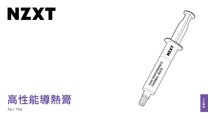# NXX

# 高性能導熱膏 3g | 15g



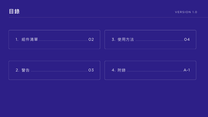







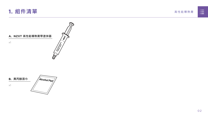





Alcohol Pad **B. 異丙醇濕巾**

<span id="page-2-0"></span>

x1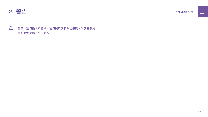<span id="page-3-0"></span>

## **警告:請勿攝入本產品。請勿與皮膚和眼睛接觸。請放置於兒 童和寵物接觸不到的地方。**



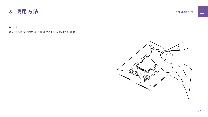<span id="page-4-0"></span>

**第一步** 

請使用隨附的異丙醇濕巾清潔 CPU 和散熱器的接觸面。



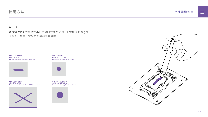高性能導熱膏





#### **第二步**

請根據 CPU 的實際大小以合適的方式在 CPU 上塗抹導熱膏(見比 例圖)。無需在安裝散熱器前手動鋪開。

## **使用方法**

**CPU - 35X35MM** Intel LGA 1200/115x Recommended application : 10mm



**CPU SIZE - 40X40MM** AM4 & Intel LGA 20xx Recommended application : 15mm



**CPU - 68X50.5MM** AMD STR4/sTRX4 Recommended application : 43.68x26.18mm



**CPU - 37.5X45MM** Intel LGA 1700 Recommended application : 25.8mm

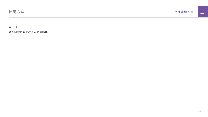



## **第三步**

請按照製造商的說明安裝散熱器。

## **使用方法**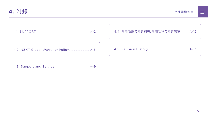

高性能導熱膏

<span id="page-7-0"></span>

[4.2 NZXT Global Warranty Policy................................](#page-9-0) A-3



|  | n poster                                                                                       |  |
|--|------------------------------------------------------------------------------------------------|--|
|  |                                                                                                |  |
|  | <u> Timbu ku shekara ta 1989 a shekara ta 1989 a shekara ta 1989 a shekara ta 1989 a Tsara</u> |  |
|  |                                                                                                |  |

[4.3 Support and Service.......................................................A-9](#page-15-0)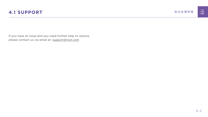

<span id="page-8-0"></span>If you have an issue and you need further help to resolve, please contact us via email at: support@nzxt.com



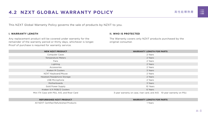



# <span id="page-9-0"></span>**4.2 NZXT GLOBAL WARRANTY POLICY スポインスタング 高性能導熱膏**

This NZXT Global Warranty Policy governs the sale of products by NZXT to you.

#### **I. WARRANTY LENGTH**

Any replacement product will be covered under warranty for the remainder of the warranty period or thirty days, whichever is longer. Proof of purchase is required for warranty service.

#### **II. WHO IS PROTECTED**

The Warranty covers only NZXT products purchased by the original consumer.

| <b>NEW NZXT PRODUCT</b>                     | <b>WARRANTY LENGTH FOR PARTS</b>                                       |
|---------------------------------------------|------------------------------------------------------------------------|
| <b>Computer Cases</b>                       | 2 Years                                                                |
| <b>Temperature Meters</b>                   | 2 Years                                                                |
| Fans                                        | 2 Years                                                                |
| Lighting                                    | 2 Years                                                                |
| Accessories                                 | 2 Years                                                                |
| <b>Kraken M Coolers</b>                     | 3 Years                                                                |
| NZXT Keyboard/Mouse                         | 2 Years                                                                |
| Headset/Headphone Storage                   | 2 Years                                                                |
| <b>USB Microphone</b>                       | 2 Years                                                                |
| Motherboards                                | 3 Years                                                                |
| <b>Gold Power Supply</b>                    | 10 Years                                                               |
| Kraken X/X RGB/Z Coolers                    | 6 Years                                                                |
| Mini ITX Case with PSU, AIO, and Riser Card | 3-year warranty on case, riser card, and AIO. 10-year warranty on PSU. |

#### **REFURBISHED NZXT PRODUCT WARRANTY LENGTH FOR PARTS**





All NZXT Certified Refurbished Products 1 Years

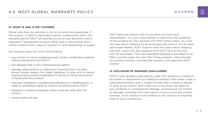高性能導熱膏

#### **III. WHAT IS AND IS NOT COVERED**

Please note that our warranty is not an unconditional guarantee. If the product, in NZXT's reasonable opinion, malfunctions within the warranty period, NZXT will provide you at its sole discretion with a repaired or replacement product, either new or refurbished, with a similar function that is equal or greater in value depending on supply.

Our warranty does not cover the following:

- any product or serial number/warranty sticker modification applied without permission from NZXT;
- any damage that is not a manufacturing defect;
- damage, deterioration or malfunction resulting from: accident, abuse, misuse, neglect, fire, water, lightning, or other acts of nature, unauthorized product modification or failure to follow instructions included with the product;
- improper installation, unauthorized alterations or modifications, or repair or attempted repair by anyone not authorized by NZXT;
- shipping or transport damage (claims must be made with the carrier);
- normal wear and tear.

NZXT does not warrant that this product will meet your requirements. It is your responsibility to determine the suitability of this product for your purpose. For NZXT Store orders, we cover two way return shipping for all exchanges and returns. For all other authorized dealers, NZXT Support does not cover return shipping and only covers one way shipping from NZXT back to the end user for exchanges. Two way expedited shipping is provided for all PSUs covered under the Less Than Three program, indiscriminate of purchase location, provided the location is an approved NZXT reseller.

#### **IV. EXCLUSION OF DAMAGES (DISCLAIMER)**

NZXT's sole obligation and liability under this warranty is limited to the repair or replacement of a defective product with either a new or refurbished product with a similar function that is equal or greater in value at our option. NZXT shall not, in any event, be liable for any incidental or consequential damage, including but not limited to damages resulting from interruption of service and loss of data, business, or for liability in tort relating to this product or resulting from its use or possession.

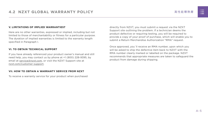

#### **V. LIMITATIONS OF IMPLIED WARRANTIEST**

Here are no other warranties, expressed or implied, including but not limited to those of merchantability or fitness for a particular purpose. The duration of implied warranties is limited to the warranty length specified in Paragraph I.

#### **VI. TO OBTAIN TECHNICAL SUPPORT**

If you have already referenced your product owner's manual and still need help, you may contact us by phone at +1 (800) 228-9395, by email at [service@nzxt.com](mailto:service%40nzxt.com?subject=), or visit the NZXT Support site at [nzxt.com/customer-support.](http://nzxt.com/customer-support)

#### **VII. HOW TO OBTAIN A WARRANTY SERVICE FROM NZXT**

To receive a warranty service for your product when purchased

directly from NZXT, you must submit a request via the NZXT Support site outlining the problem. If a technician deems the product defective or requiring testing, you will be required to provide a copy of your proof of purchase, which will enable you to submit a Return Merchandise Authorization "RMA" request.

Once approved, you`ll receive an RMA number, upon which you will be asked to ship the defective item back to NZXT with the RMA number clearly marked or labelled on the package. NZXT recommends that appropriate measures are taken to safeguard the product from damage during shipping.

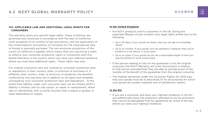高性能導熱膏

#### **VIII. APPLICABLE LAW AND ADDITIONAL LEGAL RIGHTS FOR CONSUMERS**

This warranty gives you specific legal rights. These conditions are governed and construed in accordance with the laws of California (with exception of its conflict of law provisions), and the application of the United Nations Convention of Contracts for the International Sale of Goods is expressly excluded. The non-exclusive jurisdiction of the courts of California is agreed, which means that you may bring a claim to enforce your consumer protection rights in connection with this Global Warranty in the country which you have your habitual residence where you may have additional rights. These rights may vary.

For original consumers who are covered by consumer protection laws or regulations in their country, state, or province of purchase or, if different, their country, state, or province of residence, the benefits conferred by this warranty are in addition to all rights and remedies conveyed by such consumer protection laws and regulations. To the extent that liability under such consumer laws can be limited, NZXT's liability is limited, and its sole option, to repair or replacement, either new or refurbished, with a similar function that is equal or greater in value depending on supply.

#### **In the United Kingdom:**

- For NZXT products sold to customers in the UK, during the expected lifespan of your product your legal rights entitle you to the following:
	- > Up to 30 days: if your goods are faulty, then you can get an immediate refund.
	- > Up to six months: if your goods can't be repaired or replaced, then you're entitled to a full refund, in most cases.
	- > Up to six years: if your goods do not last a reasonable length of time you may be entitled to some money back.
- If the person seeking to rely on the guarantee is not the original consumer, the NZXT Warranty will cover the product in relation to that person provided that they are able to provide proof of the transfer of the benefit of the guarantee from the original consumer.
- The implied warranties under the Consumer Rights Act 2015 says that your goods must be as described, fit for all purposes for which such goods are usually supplied, and of satisfactory quality.

#### **In the EU:**

• If you are a consumer and have your habitual residence in the EU, you additionally enjoy the protection afforded to you by provisions that cannot be derogated from by agreement by virtue of the law where you have your habitual residence.

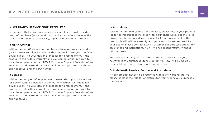

#### **IX. WARRANTY SERVICE FROM RESELLERS**

In the event that a warranty service is sought, you must provide proof of purchase (store receipt or invoice) in order to receive the service and if deemed necessary, repair or replacement product.

#### **In North America:**

Within the first 60 days after purchase, please return your product (or for power supplies installed within our enclosures, just the failed power supply) to your dealer or reseller for a replacement. If the product is still within warranty and you can no longer return it to your dealer, please contact NZXT Customer Support (see above) for assistance and instructions. NZXT will not accept returns without prior approval and an RMA number.

#### **In Europe:**

Within the first year after purchase, please return your product (or for power supplies installed within our enclosures, just the failed power supply) to your dealer or reseller for a replacement. If the product is still within warranty and you can no longer return it to your dealer, please contact NZXT Customer Support (see above) for assistance and instructions. NZXT will not accept returns without prior approval.

#### **In Australasia:**

Within the first two years after purchase, please return your product (or for power supplies installed within our enclosures, just the failed power supply) to your dealer or reseller for a replacement. If the product is still within warranty and you can no longer return it to your dealer, please contact NZXT Customer Support (see above) for assistance and instructions. NZXT will not accept returns without prior approval.

The cost of shipping will be borne at the first instance by you; however, if the purchased item is defective, NZXT will reimburse reasonable postage or transportation of costs.

#### **Outside North America, Europe, and Australasia:**

If your product needs to be returned within the warranty period, please contact the retailer or distributor from whom you purchased the product.

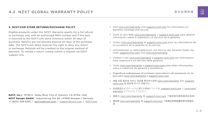高性能導熱膏

#### **X. NZXT.COM STORE RETURNS/EXCHANGE POLICY**

Eligible products under this NZXT Warranty qualify for a full refund or exchange only with an authorized RMA number and if the item is returned to the NZXT.com store inventory within 30 days of purchase. Returns are not allowed beyond 30 days of the purchase date. The NZXT.com Store reserves the right to deny any return or exchange. Refunds will be credited to the original method of payment. To initiate a return, simply submit a request via NZXT support site.

- > Visit [nzxt.com/warranty](http://nzxt.com/warranty) and [support.nzxt.com](http://support.nzxt.com) for information on warranty coverage and service.
- > Visite el sitio Web [nzxt.com/warranty](http://nzxt.com/warranty) y [support.nzxt.com](http://support.nzxt.com) para obtener información sobre la cobertura y el servicio de la garantía.
- > Visitez [nzxt.com/warranty](http://nzxt.com/warranty) et [support.nzxt.com](http://support.nzxt.com) pour les informations de la couverture de la garantie et du service.
- > Informationen zu Geltungsbereich und Service der Garantie finden Sie unter [support.nzxt.com](http://support.nzxt.com) und [nzxt.com/warranty.](http://nzxt.com/warranty)
- > Visitare il sito [nzxt.com/warranty](http://nzxt.com/warranty) e [support.nzxt.com](http://support.nzxt.com) per informazioni sulla copertura e sul servizio della garanzia.
- > Visite [nzxt.com/warranty](http://nzxt.com/warranty) e [support.nzxt.com](http://support.nzxt.com) para obter informações sobre a cobertura da garantia e assistência.
- > Подробную информацию об условиях гарантийного обслуживания см. на веб-сайте [nzxt.com/warranty](http://nzxt.com/warranty) и [support.nzxt.com](http://support.nzxt.com).
- > 제품 보증 범위와 서비스 정보를 확인하시려면 [nzxt.com/warranty](http://nzxt.com/warranty) 또는 [support.](http://support.nzxt.com) [nzxt.com](http://support.nzxt.com) 을 방문해 주시기 바랍니다.
- > 保証範囲およびサービスに関する情報については、[support.nzxt.com](http://support.nzxt.com) と [nzxt.com/](http://nzxt.com/warranty) [warranty](http://nzxt.com/warranty) にアクセスしてください。
- > 请造访 nzxt.com/warranty 和 [support.nzxt.com](http://support.nzxt.com) 了解保修范围和服务的信息。
- > 請訪問 [nzxt.com/warranty](http://nzxt.com/warranty) 和 [support.nzxt.com](http://support.nzxt.com) 了解產品保固範圍和更多服務訊 息。



**NZXT, Inc./** 15736 E. Valley Blvd, City of Industry, CA 91744, USA **NZXT Europe GmbH/** Industriering Ost 66 | 47906 Kempen | Germany +1 (800) 228-9395 / service@nzxt.com / [support@nzxt.com](mailto:support%40nzxt.com?subject=) / NZX[T.com](http://nzxt.com)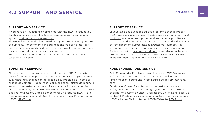

# <span id="page-15-0"></span>**4.3 SUPPORT AND SERVICE スポインス ありましい 高性能導熱膏**

## **SUPPORT AND SERVICE**

If you have any questions or problems with the NZXT product you purchased, please don't hesitate to contact us using our support system. [nzxt.com/customer-support](http://nzxt.com/customer-support)

Please include a detailed explanation of your problem and your proof of purchase. For comments and suggestions, you can e-mail our design team, [designer@nzxt.com.](mailto:designer%40nzxt.com?subject=) Lastly we would like to thank you for your support by purchasing this product.

For more information about NZXT, please visit us online. NZXT Website: NZX[T.com](http://nzxt.com)

## **SOPORTE Y SERVICIO**

Si tiene preguntas o problemas con el producto NZXT que usted compró, no dude en ponerse en contacto con [service@nzxt.com](mailto:service%40nzxt.com?subject=) y suministrar una explicación detallada de su problema así como su prueba de compra. Puede hacer consultas sobre piezas de repuesto en [nzxt.com/customer-support.](http://nzxt.com/customer-support) Para comentarios y sugerencias, escriba un mensaje de correo electrónico a nuestro equipo de diseño: [designer@nzxt.com.](mailto:designer%40nzxt.com?subject=) Gracias por comprar un producto NZXT. Para más información acerca de NZXT, visítenos en línea. Página web de NZXT: NZX[T.com](http://nzxt.com)



## **SUPPORT ET SERVICE**

Si vous avez des questions ou des problèmes avec le produit NZXT que vous avez acheté, n'hésitez pas à contacter service@ nzxt.com avec une description détaillée de votre problème et votre preuve d'achat. Vous pouvez aussi commander des pièces de remplacement auprès [nzxt.com/customer-support.](http://nzxt.com/customer-support) Pour les commentaires et les suggestions, envoyez un email à notre équipe de design, [designer@nzxt.com.](mailto:designer%40nzxt.com?subject=) Merci d'avoir acheté ce produit de NZXT. Pour plus d'informations sur NZXT, visitez notre site Web. Site Web de NZXT : NZX[T.com](http://nzxt.com)

## **KUNDENDIENST UND SERVICE**

Falls Fragen oder Probleme bezüglich Ihres NZXT-Produktes auftreten, wenden Sie sich bitte mit einer detaillierten Problembeschreibung und Ihrem Kaufbeleg an [service@nzxt.](mailto:service%40nzxt.com?subject=) [com](mailto:service%40nzxt.com?subject=).

Ersatzteile können Sie unter [nzxt.com/customer-support](http://nzxt.com/customer-support) anfragen. Kommentare und Anregungen senden Sie bitte per [designer@nzxt.com](mailto:designer%40nzxt.com?subject=) an unser Designteam. Vielen Dank, dass Sie ein NZXT-Produkt erworben haben. Weitere Informationen über NZXT erhalten Sie im Internet. NZXT-Webseite: NZX[T.com](http://nzxt.com)

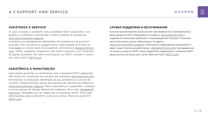## **ASSISTENZA E SERVIZIO**

In caso di dubbi o problemi con il prodotto NZXT acquistato, non esitate a contattarci utilizzando il nostro sistema di assistenza. [nzxt.com/customer-support](http://nzxt.com/customer-support)

Includere una spiegazione dettagliata del problema e la prova di acquisto. Per commenti e suggerimenti, siete pregati di inviare un messaggio al nostro team di progettisti, all'indirizzo: [designer@nzxt.](mailto:designer%40nzxt.com?subject=) [com](mailto:designer%40nzxt.com?subject=). Infine, vogliamo ringraziarvi del vostro supporto con l'acquisto di questo prodotto. Per altre informazioni su NZXT, visitate il nostro sito. Sito NZXT: NZX[T.com](http://nzxt.com)

## **ASSISTÊNCIA E MANUTENÇÃO**

Caso tenha questões ou problemas com o produto NZXT adquirido, não hesite em contactar-nos através do endereço [service@nzxt.com](mailto:service%40nzxt.com?subject=) fornecendo a explicação detalhada do seu problema e a prova de compra. Poderá solicitar peças de substituição através do endereço [nzxt.com/customer-support.](http://nzxt.com/customer-support) Para comentários e sugestões, contacte a nossa equipa de design através do endereço de e-mail, [designer@](mailto:designer%40nzxt.com?subject=) [nzxt.com.](mailto:designer%40nzxt.com?subject=) Obrigado por ter adquirido um produto NZXT. Para mais informações acerca da NZXT, visite-nos online. Web site da NZXT: NZX[T.com](http://nzxt.com)



### **СЛУЖБА ПОДДЕРЖКИ И ОБСЛУЖИВАНИЯ**

В случае возникновения вопросов или неисправностей в приобретенных вами продуктах NZXT обращайтесь по адресу: [service@nzxt.com](mailto:service%40nzxt.com?subject=) с подробным описанием проблемы и подтверждением покупки. О наличии запчастей можно узнать, обратившись по адресу:

[nzxt.com/customer-support](http://nzxt.com/customer-support). Замечания и предложения отправляйте в адрес нашей группы разработчиков: [designer@nzxt.com](mailto:designer%40nzxt.com?subject=). Благодарим вас за покупку продукта NZXT. Более подробная информация о компании NZXT представлена на наших веб-сайтах. Веб-сайт NZXT: NZX[T.com](http://nzxt.com)

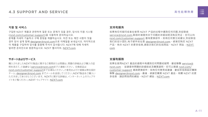













#### **지원 및 서비스**

구입한 NZXT 제품과 관련하여 질문 또는 문제가 있을 경우, 당사의 지원 시스템 ([nzxt.com/customer-support\)](http://nzxt.com/customer-support)을 사용하여 문의하십시오. 문제를 자세히 기술하고 구매 증빙을 제출하십시오. 의견 또는 제안 사항이 잇을 경우 당사 설계 팀에 [designer@nzxt.com](mailto:designer%40nzxt.com?subject=)으로 이메일을 보내십시오. 마지막으로 이 제품을 구입하여 당사를 응원해 주셔서 감사합니다. NZXT에 대해 자세히 알려면 온라인으로 방문하십시오. NZXT 웹사이트: NZX[T.com](http://nzxt.com)

#### **サポートおよびサービス**

購入されましたNZXTの製品に関するご質問または問題は、問題の詳細および購入の証 明を添えて、ご遠慮なく[service@nzxt.com](mailto:service%40nzxt.com?subject=)までご連絡ください。交換部品は [nzxt.com/customer-support](http://nzxt.com/customer-support)までお尋ねください。ご意見およびご提案は弊社設計 チーム、[designer@nzxt.com](mailto:designer%40nzxt.com?subject=) までメールを送信してください。NZXT製品をご購入い ただきましてありがとうございます。 NZXTに関する詳細は、インターネット上のウェブサ イトをご覧ください。NZXT ウェブサイト: NZX[T.com](http://nzxt.com)

#### **支持和服务**

如果有任何疑问或者在使用 NZXT 产品的过程中遇到任何问题,欢迎联络 [service@nzxt.com,](mailto:service%40nzxt.com?subject=)联络时请提供关于问题的详细说明及购买凭证。您可以向 [nzxt.com/customer-support](http://nzxt.com/customer-support) 查询更换部件。如有任何意见或建议,欢迎致信 我们的设计团队,电子邮件地址是 designer@nzxt.com。感谢您购买 NZXT 产品。有关 NZXT 的更多信息,请造访我们的在线网站。NZXT 网站:NZX[T.](http://nzxt.com) [com](http://nzxt.com)

#### **支援和服務**

如果在使用NZXT 產品的過程中有遇到任何問題或疑問, 歡迎聯繫 [service@](mailto:service%40nzxt.com?subject=) [nzxt.com](mailto:service%40nzxt.com?subject=), 並請提供問題的詳細敘述及購買證明。您可以透過 [nzxt.com/](http://nzxt.com/customer-support) [customer-support](http://nzxt.com/customer-support) 查詢更換部件。如有任何意見或建議,歡迎來信與設計團隊 聯繫 designer@nzxt.com。最後,感謝您購買 NZXT 產品。有關 NZXT 的更 多信息,請訪問我們的網站。NZXT 網站: NZXT.com







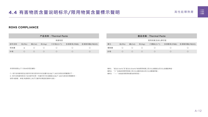

## <span id="page-18-0"></span>1.4 有害物质含量说明标示/限用物質含量標示聲明 **1.4 有害物质含量说明标示/限用物質含量標示聲明**

#### **ROHS COMPLIANCE**

○: 表示该有害物质在该部件所有均质材料中的含量均在GB/T 26572规定的限量要求下。 ✕: 表示该有害物质至少在该部件的某一均值材料中的含量超出GB/T 26572官定的限量要求。 说明:电路板:单板/电路模块上电子元器件的陶瓷或玻璃中含铅。



本表格依据SJ/T 11364的规定编制。

| 产品名称: Thermal Paste |          |       |            |                        | <b>產品名稱: Thermal Paste</b> |             |     |            |       |                                             |                        |  |                       |
|---------------------|----------|-------|------------|------------------------|----------------------------|-------------|-----|------------|-------|---------------------------------------------|------------------------|--|-----------------------|
| 有害物质                |          |       |            |                        |                            | 限用物質及其化學符號  |     |            |       |                                             |                        |  |                       |
| 部件名称                | 铅(Pb)    | 镉(Cd) | 汞(Hg)      | 六价铬(Cr <sup>+6</sup> ) | 多溴联苯(PBB)                  | 多溴联苯醚(PBDE) | 單元  | 鉛(Pb)      | 鎘(Cd) | 汞(Hg)                                       | 六價鉻(Cr <sup>+6</sup> ) |  | 多溴聯苯(PBB) 多溴聯苯醚(PBDE) |
| 导热膏                 | $\times$ |       |            |                        |                            |             | 導熱膏 |            |       | $\left(\begin{array}{c} \end{array}\right)$ |                        |  |                       |
| 针筒                  |          |       | $\bigcirc$ |                        |                            |             | 針筒  | $\bigcirc$ |       | $\overline{O}$                              |                        |  |                       |

備考1. "超出0.1wt%"及"超出0.01wt%"係指限用物質之百分比含量超出百分比含量基準值。

備考2. "○" 係指該項限用物質之百分比含量未超出百分比含量基準值。

備考3. " — " 係指該項限用物質為排除項目。